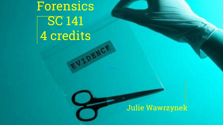Forensics SC 141 4 credits

#### Julie Wawrzynek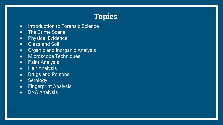#### **Topics**

- Introduction to Forensic Science
- The Crime Scene
- Physical Evidence
- Glass and Soil
- Organic and Inorganic Analysis
- Microscope Techniques
- Paint Analysis
- Hair Analysis
- Drugs and Poisons
- **•** Serology
- Fingerprint Analysis
- DNA Analysis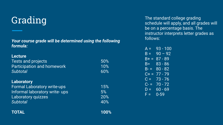## Grading

*Your course grade will be determined using the following formula:*

| <b>Lecture</b>                     |     |
|------------------------------------|-----|
| <b>Tests and projects</b>          | 50% |
| <b>Participation and homework</b>  | 10% |
| Subtotal                           | 60% |
|                                    |     |
| <b>Laboratory</b>                  |     |
| <b>Formal Laboratory write-ups</b> | 15% |
| Informal laboratory write- ups     | 5%  |
| Laboratory quizzes                 | 20% |
| <b>Subtotal</b>                    | 40% |
|                                    |     |

The standard college grading schedule will apply, and all grades will be on a percentage basis. The instructor interprets letter grades as follows:

| $A =$                                                                                                                                                                                                                                                                                                                                                                                                                                                                                                        | $93 - 100$ |
|--------------------------------------------------------------------------------------------------------------------------------------------------------------------------------------------------------------------------------------------------------------------------------------------------------------------------------------------------------------------------------------------------------------------------------------------------------------------------------------------------------------|------------|
| $B =$                                                                                                                                                                                                                                                                                                                                                                                                                                                                                                        | $90 - 92$  |
| B+ =                                                                                                                                                                                                                                                                                                                                                                                                                                                                                                         | 87 - 89    |
| B=_                                                                                                                                                                                                                                                                                                                                                                                                                                                                                                          | $83 - 86$  |
| B- =                                                                                                                                                                                                                                                                                                                                                                                                                                                                                                         | $80 - 82$  |
| C+ =                                                                                                                                                                                                                                                                                                                                                                                                                                                                                                         | 77 - 79    |
| $\mathbf{C}=% \begin{bmatrix} \omega_{11} & \omega_{12} & \omega_{11}% \end{bmatrix}% \begin{bmatrix} \omega_{11} & \omega_{12} & \omega_{12}% \end{bmatrix}% \begin{bmatrix} \omega_{11} & \omega_{12} & \omega_{12}% \end{bmatrix}% \begin{bmatrix} \omega_{12} & \omega_{12} & \omega_{12}% \end{bmatrix}% \begin{bmatrix} \omega_{11} & \omega_{12} & \omega_{12}% \end{bmatrix}% \begin{bmatrix} \omega_{12} & \omega_{12} & \omega_{12}% \end{bmatrix}% \begin{bmatrix} \omega_{11} & \omega_{12} & \$ | $73 - 76$  |
| C- =                                                                                                                                                                                                                                                                                                                                                                                                                                                                                                         | 70 - 72    |
| $D =$                                                                                                                                                                                                                                                                                                                                                                                                                                                                                                        | $60 - 69$  |
| F =                                                                                                                                                                                                                                                                                                                                                                                                                                                                                                          | $0 - 59$   |

**TOTAL 100%**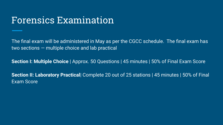## Forensics Examination

The final exam will be administered in May as per the CGCC schedule. The final exam has two sections — multiple choice and lab practical

**Section I: Multiple Choice** | Approx. 50 Questions | 45 minutes | 50% of Final Exam Score

**Section II: Laboratory Practical** Complete 20 out of 25 stations | 45 minutes | 50% of Final Exam Score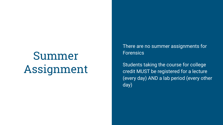# Summer Assignment

There are no summer assignments for **Forensics** 

Students taking the course for college credit MUST be registered for a lecture (every day) AND a lab period (every other day)